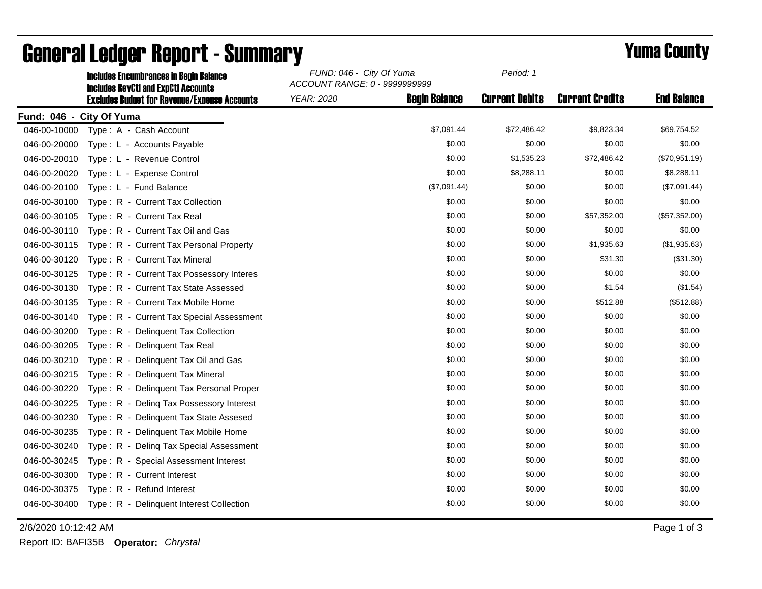|                          | <b>Includes Encumbrances in Begin Balance</b><br><b>Includes RevCtI and ExpCtI Accounts</b> | FUND: 046 - City Of Yuma<br>ACCOUNT RANGE: 0 - 9999999999 |                      | Period: 1             |                        |                    |
|--------------------------|---------------------------------------------------------------------------------------------|-----------------------------------------------------------|----------------------|-----------------------|------------------------|--------------------|
|                          | <b>Excludes Budget for Revenue/Expense Accounts</b>                                         | <b>YEAR: 2020</b>                                         | <b>Begin Balance</b> | <b>Current Debits</b> | <b>Current Credits</b> | <b>End Balance</b> |
| Fund: 046 - City Of Yuma |                                                                                             |                                                           |                      |                       |                        |                    |
| 046-00-10000             | Type: A - Cash Account                                                                      |                                                           | \$7,091.44           | \$72,486.42           | \$9,823.34             | \$69,754.52        |
| 046-00-20000             | Type: L - Accounts Payable                                                                  |                                                           | \$0.00               | \$0.00                | \$0.00                 | \$0.00             |
| 046-00-20010             | Type: L - Revenue Control                                                                   |                                                           | \$0.00               | \$1,535.23            | \$72,486.42            | (\$70,951.19)      |
| 046-00-20020             | Type: L - Expense Control                                                                   |                                                           | \$0.00               | \$8,288.11            | \$0.00                 | \$8,288.11         |
| 046-00-20100             | Type: L - Fund Balance                                                                      |                                                           | (\$7,091.44)         | \$0.00                | \$0.00                 | (\$7,091.44)       |
| 046-00-30100             | Type: R - Current Tax Collection                                                            |                                                           | \$0.00               | \$0.00                | \$0.00                 | \$0.00             |
| 046-00-30105             | Type: R - Current Tax Real                                                                  |                                                           | \$0.00               | \$0.00                | \$57,352.00            | (\$57,352.00)      |
| 046-00-30110             | Type: R - Current Tax Oil and Gas                                                           |                                                           | \$0.00               | \$0.00                | \$0.00                 | \$0.00             |
| 046-00-30115             | Type: R - Current Tax Personal Property                                                     |                                                           | \$0.00               | \$0.00                | \$1,935.63             | (\$1,935.63)       |
| 046-00-30120             | Type: R - Current Tax Mineral                                                               |                                                           | \$0.00               | \$0.00                | \$31.30                | (\$31.30)          |
| 046-00-30125             | Type: R - Current Tax Possessory Interes                                                    |                                                           | \$0.00               | \$0.00                | \$0.00                 | \$0.00             |
| 046-00-30130             | Type: R - Current Tax State Assessed                                                        |                                                           | \$0.00               | \$0.00                | \$1.54                 | (\$1.54)           |
| 046-00-30135             | Type: R - Current Tax Mobile Home                                                           |                                                           | \$0.00               | \$0.00                | \$512.88               | (\$512.88)         |
| 046-00-30140             | Type: R - Current Tax Special Assessment                                                    |                                                           | \$0.00               | \$0.00                | \$0.00                 | \$0.00             |
| 046-00-30200             | Type: R - Delinquent Tax Collection                                                         |                                                           | \$0.00               | \$0.00                | \$0.00                 | \$0.00             |
| 046-00-30205             | Type: R - Delinquent Tax Real                                                               |                                                           | \$0.00               | \$0.00                | \$0.00                 | \$0.00             |
| 046-00-30210             | Type: R - Delinquent Tax Oil and Gas                                                        |                                                           | \$0.00               | \$0.00                | \$0.00                 | \$0.00             |
| 046-00-30215             | Type: R - Delinquent Tax Mineral                                                            |                                                           | \$0.00               | \$0.00                | \$0.00                 | \$0.00             |
| 046-00-30220             | Type: R - Delinquent Tax Personal Proper                                                    |                                                           | \$0.00               | \$0.00                | \$0.00                 | \$0.00             |
| 046-00-30225             | Type: R - Deling Tax Possessory Interest                                                    |                                                           | \$0.00               | \$0.00                | \$0.00                 | \$0.00             |
| 046-00-30230             | Type: R - Delinquent Tax State Assesed                                                      |                                                           | \$0.00               | \$0.00                | \$0.00                 | \$0.00             |
| 046-00-30235             | Type: R - Delinquent Tax Mobile Home                                                        |                                                           | \$0.00               | \$0.00                | \$0.00                 | \$0.00             |
| 046-00-30240             | Type: R - Deling Tax Special Assessment                                                     |                                                           | \$0.00               | \$0.00                | \$0.00                 | \$0.00             |
| 046-00-30245             | Type: R - Special Assessment Interest                                                       |                                                           | \$0.00               | \$0.00                | \$0.00                 | \$0.00             |
| 046-00-30300             | Type: R - Current Interest                                                                  |                                                           | \$0.00               | \$0.00                | \$0.00                 | \$0.00             |
| 046-00-30375             | Type: R - Refund Interest                                                                   |                                                           | \$0.00               | \$0.00                | \$0.00                 | \$0.00             |
| 046-00-30400             | Type: R - Delinquent Interest Collection                                                    |                                                           | \$0.00               | \$0.00                | \$0.00                 | \$0.00             |

## General Ledger Report - Summary **Example 2018** Yuma County

2/6/2020 10:12:42 AM Page 1 of 3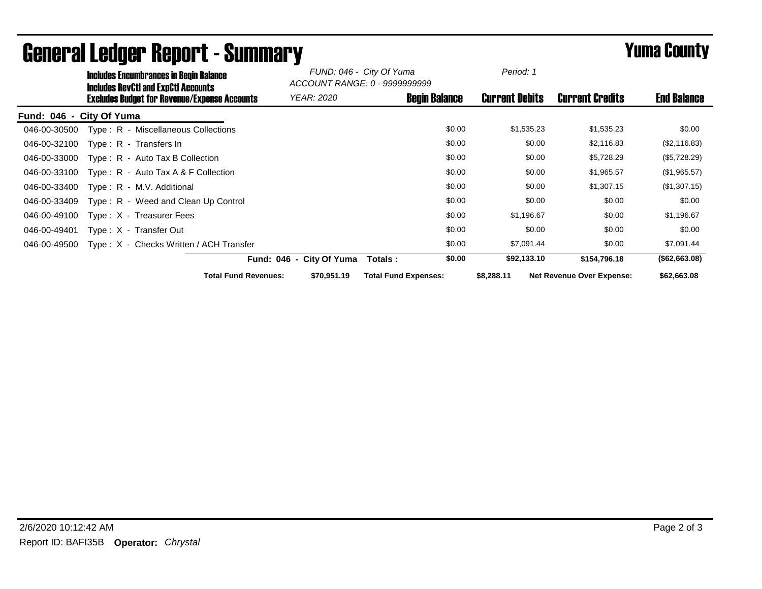|                          | <b>Includes Encumbrances in Begin Balance</b><br><b>Includes RevCtI and ExpCtI Accounts</b><br><b>Excludes Budget for Revenue/Expense Accounts</b> |                             | FUND: 046 - City Of Yuma<br>ACCOUNT RANGE: 0 - 9999999999 |                             |        | Period: 1             |                                  |                    |
|--------------------------|----------------------------------------------------------------------------------------------------------------------------------------------------|-----------------------------|-----------------------------------------------------------|-----------------------------|--------|-----------------------|----------------------------------|--------------------|
|                          |                                                                                                                                                    |                             | <i>YEAR: 2020</i>                                         | <b>Begin Balance</b>        |        | <b>Current Debits</b> | <b>Current Credits</b>           | <b>End Balance</b> |
| Fund: 046 - City Of Yuma |                                                                                                                                                    |                             |                                                           |                             |        |                       |                                  |                    |
| 046-00-30500             | Type: R - Miscellaneous Collections                                                                                                                |                             |                                                           |                             | \$0.00 | \$1,535.23            | \$1,535.23                       | \$0.00             |
| 046-00-32100             | Type: R - Transfers In                                                                                                                             |                             |                                                           |                             | \$0.00 | \$0.00                | \$2,116.83                       | (\$2,116.83)       |
| 046-00-33000             | Type: R - Auto Tax B Collection                                                                                                                    |                             |                                                           |                             | \$0.00 | \$0.00                | \$5,728.29                       | (\$5,728.29)       |
| 046-00-33100             | Type: $R -$ Auto Tax A & F Collection                                                                                                              |                             |                                                           |                             | \$0.00 | \$0.00                | \$1,965.57                       | (\$1,965.57)       |
| 046-00-33400             | Type: R - M.V. Additional                                                                                                                          |                             |                                                           |                             | \$0.00 | \$0.00                | \$1,307.15                       | (\$1,307.15)       |
| 046-00-33409             | Type: R - Weed and Clean Up Control                                                                                                                |                             |                                                           |                             | \$0.00 | \$0.00                | \$0.00                           | \$0.00             |
| 046-00-49100             | Type: X - Treasurer Fees                                                                                                                           |                             |                                                           |                             | \$0.00 | \$1,196.67            | \$0.00                           | \$1,196.67         |
| 046-00-49401             | Type: X - Transfer Out                                                                                                                             |                             |                                                           |                             | \$0.00 | \$0.00                | \$0.00                           | \$0.00             |
| 046-00-49500             | Type: X - Checks Written / ACH Transfer                                                                                                            |                             |                                                           |                             | \$0.00 | \$7,091.44            | \$0.00                           | \$7,091.44         |
|                          |                                                                                                                                                    |                             | Fund: 046 - City Of Yuma                                  | Totals :                    | \$0.00 | \$92,133.10           | \$154,796.18                     | (\$62,663.08)      |
|                          |                                                                                                                                                    | <b>Total Fund Revenues:</b> | \$70,951.19                                               | <b>Total Fund Expenses:</b> |        | \$8,288.11            | <b>Net Revenue Over Expense:</b> | \$62,663.08        |

## General Ledger Report - Summary **Experience Systems** Yuma County